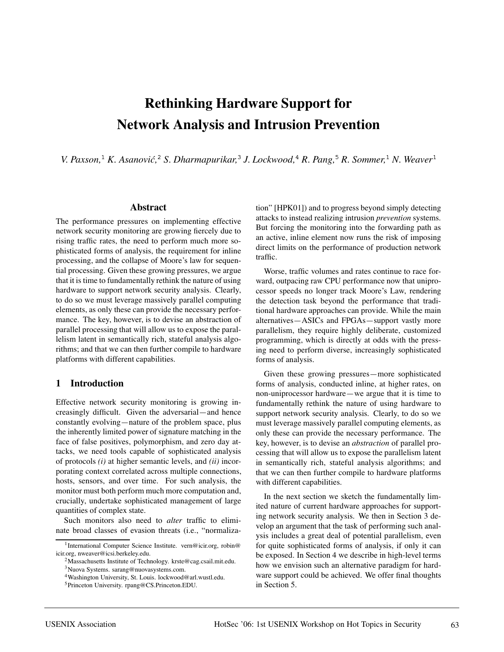# **Rethinking Hardware Support for Network Analysis and Intrusion Prevention**

*V. Paxson,*<sup>1</sup> *K. Asanovic,´* <sup>2</sup> *S. Dharmapurikar,*<sup>3</sup> *J. Lockwood,*<sup>4</sup> *R. Pang,*<sup>5</sup> *R. Sommer,*<sup>1</sup> *N. Weaver*<sup>1</sup>

#### **Abstract**

The performance pressures on implementing effective network security monitoring are growing fiercely due to rising traffic rates, the need to perform much more sophisticated forms of analysis, the requirement for inline processing, and the collapse of Moore's law for sequential processing. Given these growing pressures, we argue that it is time to fundamentally rethink the nature of using hardware to support network security analysis. Clearly, to do so we must leverage massively parallel computing elements, as only these can provide the necessary performance. The key, however, is to devise an abstraction of parallel processing that will allow us to expose the parallelism latent in semantically rich, stateful analysis algorithms; and that we can then further compile to hardware platforms with different capabilities.

#### **1 Introduction**

Effective network security monitoring is growing increasingly difficult. Given the adversarial—and hence constantly evolving—nature of the problem space, plus the inherently limited power of signature matching in the face of false positives, polymorphism, and zero day attacks, we need tools capable of sophisticated analysis of protocols *(i)* at higher semantic levels, and *(ii)* incorporating context correlated across multiple connections, hosts, sensors, and over time. For such analysis, the monitor must both perform much more computation and, crucially, undertake sophisticated management of large quantities of complex state.

Such monitors also need to *alter* traffic to eliminate broad classes of evasion threats (i.e., "normaliza-

2Massachusetts Institute of Technology. krste@cag.csail.mit.edu. 3Nuova Systems. sarang@nuovasystems.com.

tion" [HPK01]) and to progress beyond simply detecting attacks to instead realizing intrusion *prevention* systems. But forcing the monitoring into the forwarding path as an active, inline element now runs the risk of imposing direct limits on the performance of production network traffic.

Worse, traffic volumes and rates continue to race forward, outpacing raw CPU performance now that uniprocessor speeds no longer track Moore's Law, rendering the detection task beyond the performance that traditional hardware approaches can provide. While the main alternatives—ASICs and FPGAs—support vastly more parallelism, they require highly deliberate, customized programming, which is directly at odds with the pressing need to perform diverse, increasingly sophisticated forms of analysis.

Given these growing pressures—more sophisticated forms of analysis, conducted inline, at higher rates, on non-uniprocessor hardware—we argue that it is time to fundamentally rethink the nature of using hardware to support network security analysis. Clearly, to do so we must leverage massively parallel computing elements, as only these can provide the necessary performance. The key, however, is to devise an *abstraction* of parallel processing that will allow us to expose the parallelism latent in semantically rich, stateful analysis algorithms; and that we can then further compile to hardware platforms with different capabilities.

In the next section we sketch the fundamentally limited nature of current hardware approaches for supporting network security analysis. We then in Section 3 develop an argument that the task of performing such analysis includes a great deal of potential parallelism, even for quite sophisticated forms of analysis, if only it can be exposed. In Section 4 we describe in high-level terms how we envision such an alternative paradigm for hardware support could be achieved. We offer final thoughts in Section 5.

<sup>&</sup>lt;sup>1</sup>International Computer Science Institute. vern@icir.org, robin@ icir.org, nweaver@icsi.berkeley.edu.

<sup>4</sup>Washington University, St. Louis. lockwood@arl.wustl.edu.

<sup>5</sup>Princeton University. rpang@CS.Princeton.EDU.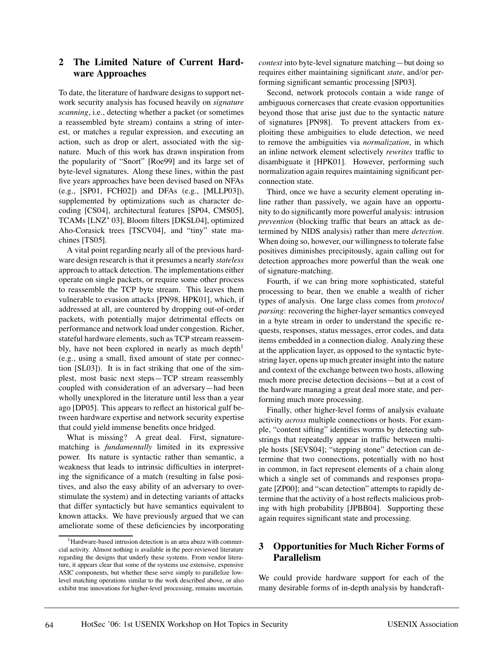### **2 The Limited Nature of Current Hardware Approaches**

To date, the literature of hardware designs to support network security analysis has focused heavily on *signature scanning*, i.e., detecting whether a packet (or sometimes a reassembled byte stream) contains a string of interest, or matches a regular expression, and executing an action, such as drop or alert, associated with the signature. Much of this work has drawn inspiration from the popularity of "Snort" [Roe99] and its large set of byte-level signatures. Along these lines, within the past five years approaches have been devised based on NFAs (e.g., [SP01, FCH02]) and DFAs (e.g., [MLLP03]), supplemented by optimizations such as character decoding [CS04], architectural features [SP04, CMS05], TCAMs [LNZ<sup>+</sup> 03], Bloom filters [DKSL04], optimized Aho-Corasick trees [TSCV04], and "tiny" state machines [TS05].

A vital point regarding nearly all of the previous hardware design research is that it presumes a nearly *stateless* approach to attack detection. The implementations either operate on single packets, or require some other process to reassemble the TCP byte stream. This leaves them vulnerable to evasion attacks [PN98, HPK01], which, if addressed at all, are countered by dropping out-of-order packets, with potentially major detrimental effects on performance and network load under congestion. Richer, stateful hardware elements, such as TCP stream reassembly, have not been explored in nearly as much depth<sup>1</sup> (e.g., using a small, fixed amount of state per connection [SL03]). It is in fact striking that one of the simplest, most basic next steps—TCP stream reassembly coupled with consideration of an adversary—had been wholly unexplored in the literature until less than a year ago [DP05]. This appears to reflect an historical gulf between hardware expertise and network security expertise that could yield immense benefits once bridged.

What is missing? A great deal. First, signaturematching is *fundamentally* limited in its expressive power. Its nature is syntactic rather than semantic, a weakness that leads to intrinsic difficulties in interpreting the significance of a match (resulting in false positives, and also the easy ability of an adversary to overstimulate the system) and in detecting variants of attacks that differ syntacticly but have semantics equivalent to known attacks. We have previously argued that we can ameliorate some of these deficiencies by incorporating *context* into byte-level signature matching—but doing so requires either maintaining significant *state*, and/or performing significant semantic processing [SP03].

Second, network protocols contain a wide range of ambiguous cornercases that create evasion opportunities beyond those that arise just due to the syntactic nature of signatures [PN98]. To prevent attackers from exploiting these ambiguities to elude detection, we need to remove the ambiguities via *normalization*, in which an inline network element selectively *rewrites* traffic to disambiguate it [HPK01]. However, performing such normalization again requires maintaining significant perconnection state.

Third, once we have a security element operating inline rather than passively, we again have an opportunity to do significantly more powerful analysis: intrusion *prevention* (blocking traffic that bears an attack as determined by NIDS analysis) rather than mere *detection*. When doing so, however, our willingness to tolerate false positives diminishes precipitously, again calling out for detection approaches more powerful than the weak one of signature-matching.

Fourth, if we can bring more sophisticated, stateful processing to bear, then we enable a wealth of richer types of analysis. One large class comes from *protocol parsing*: recovering the higher-layer semantics conveyed in a byte stream in order to understand the specific requests, responses, status messages, error codes, and data items embedded in a connection dialog. Analyzing these at the application layer, as opposed to the syntactic bytestring layer, opens up much greater insight into the nature and context of the exchange between two hosts, allowing much more precise detection decisions—but at a cost of the hardware managing a great deal more state, and performing much more processing.

Finally, other higher-level forms of analysis evaluate activity *across* multiple connections or hosts. For example, "content sifting" identifies worms by detecting substrings that repeatedly appear in traffic between multiple hosts [SEVS04]; "stepping stone" detection can determine that two connections, potentially with no host in common, in fact represent elements of a chain along which a single set of commands and responses propagate [ZP00]; and "scan detection" attempts to rapidly determine that the activity of a host reflects malicious probing with high probability [JPBB04]. Supporting these again requires significant state and processing.

## **3 Opportunities for Much Richer Forms of Parallelism**

We could provide hardware support for each of the many desirable forms of in-depth analysis by handcraft-

<sup>&</sup>lt;sup>1</sup>Hardware-based intrusion detection is an area abuzz with commercial activity. Almost nothing is available in the peer-reviewed literature regarding the designs that underly these systems. From vendor literature, it appears clear that some of the systems use extensive, expensive ASIC components, but whether these serve simply to parallelize lowlevel matching operations similar to the work described above, or also exhibit true innovations for higher-level processing, remains uncertain.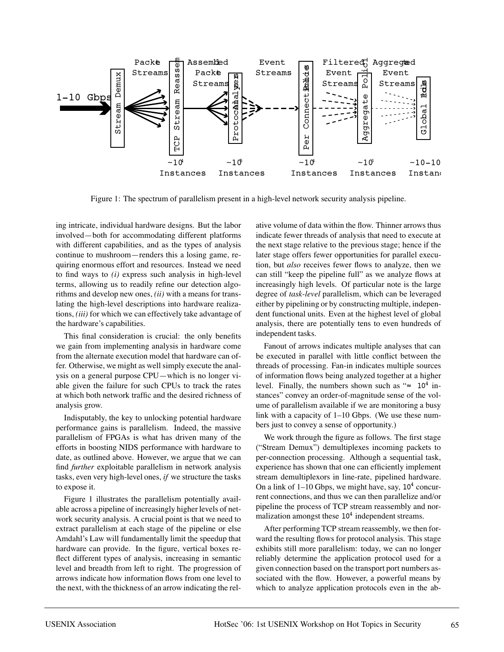

Figure 1: The spectrum of parallelism present in a high-level network security analysis pipeline.

ing intricate, individual hardware designs. But the labor involved—both for accommodating different platforms with different capabilities, and as the types of analysis continue to mushroom—renders this a losing game, requiring enormous effort and resources. Instead we need to find ways to *(i)* express such analysis in high-level terms, allowing us to readily refine our detection algorithms and develop new ones, *(ii)* with a means for translating the high-level descriptions into hardware realizations, *(iii)* for which we can effectively take advantage of the hardware's capabilities.

This final consideration is crucial: the only benefits we gain from implementing analysis in hardware come from the alternate execution model that hardware can offer. Otherwise, we might as well simply execute the analysis on a general purpose CPU—which is no longer viable given the failure for such CPUs to track the rates at which both network traffic and the desired richness of analysis grow.

Indisputably, the key to unlocking potential hardware performance gains is parallelism. Indeed, the massive parallelism of FPGAs is what has driven many of the efforts in boosting NIDS performance with hardware to date, as outlined above. However, we argue that we can find *further* exploitable parallelism in network analysis tasks, even very high-level ones, *if* we structure the tasks to expose it.

Figure 1 illustrates the parallelism potentially available across a pipeline of increasingly higher levels of network security analysis. A crucial point is that we need to extract parallelism at each stage of the pipeline or else Amdahl's Law will fundamentally limit the speedup that hardware can provide. In the figure, vertical boxes reflect different types of analysis, increasing in semantic level and breadth from left to right. The progression of arrows indicate how information flows from one level to the next, with the thickness of an arrow indicating the relative volume of data within the flow. Thinner arrows thus indicate fewer threads of analysis that need to execute at the next stage relative to the previous stage; hence if the later stage offers fewer opportunities for parallel execution, but *also* receives fewer flows to analyze, then we can still "keep the pipeline full" as we analyze flows at increasingly high levels. Of particular note is the large degree of *task-level* parallelism, which can be leveraged either by pipelining or by constructing multiple, independent functional units. Even at the highest level of global analysis, there are potentially tens to even hundreds of independent tasks.

Fanout of arrows indicates multiple analyses that can be executed in parallel with little conflict between the threads of processing. Fan-in indicates multiple sources of information flows being analyzed together at a higher level. Finally, the numbers shown such as " $\approx 10^4$  instances" convey an order-of-magnitude sense of the volume of parallelism available if we are monitoring a busy link with a capacity of 1–10 Gbps. (We use these numbers just to convey a sense of opportunity.)

We work through the figure as follows. The first stage ("Stream Demux") demultiplexes incoming packets to per-connection processing. Although a sequential task, experience has shown that one can efficiently implement stream demultiplexors in line-rate, pipelined hardware. On a link of  $1-10$  Gbps, we might have, say,  $10<sup>4</sup>$  concurrent connections, and thus we can then parallelize and/or pipeline the process of TCP stream reassembly and normalization amongst these  $10<sup>4</sup>$  independent streams.

After performing TCP stream reassembly, we then forward the resulting flows for protocol analysis. This stage exhibits still more parallelism: today, we can no longer reliably determine the application protocol used for a given connection based on the transport port numbers associated with the flow. However, a powerful means by which to analyze application protocols even in the ab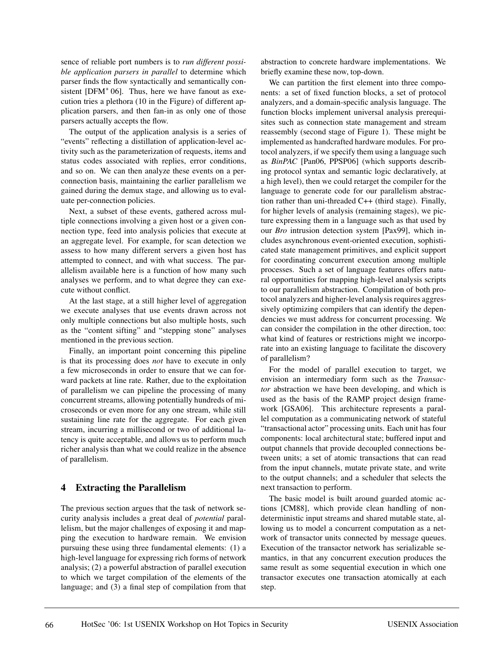sence of reliable port numbers is to *run different possible application parsers in parallel* to determine which parser finds the flow syntactically and semantically consistent  $[DFM<sup>+</sup> 06]$ . Thus, here we have fanout as execution tries a plethora (10 in the Figure) of different application parsers, and then fan-in as only one of those parsers actually accepts the flow.

The output of the application analysis is a series of "events" reflecting a distillation of application-level activity such as the parameterization of requests, items and status codes associated with replies, error conditions, and so on. We can then analyze these events on a perconnection basis, maintaining the earlier parallelism we gained during the demux stage, and allowing us to evaluate per-connection policies.

Next, a subset of these events, gathered across multiple connections involving a given host or a given connection type, feed into analysis policies that execute at an aggregate level. For example, for scan detection we assess to how many different servers a given host has attempted to connect, and with what success. The parallelism available here is a function of how many such analyses we perform, and to what degree they can execute without conflict.

At the last stage, at a still higher level of aggregation we execute analyses that use events drawn across not only multiple connections but also multiple hosts, such as the "content sifting" and "stepping stone" analyses mentioned in the previous section.

Finally, an important point concerning this pipeline is that its processing does *not* have to execute in only a few microseconds in order to ensure that we can forward packets at line rate. Rather, due to the exploitation of parallelism we can pipeline the processing of many concurrent streams, allowing potentially hundreds of microseconds or even more for any one stream, while still sustaining line rate for the aggregate. For each given stream, incurring a millisecond or two of additional latency is quite acceptable, and allows us to perform much richer analysis than what we could realize in the absence of parallelism.

#### **4 Extracting the Parallelism**

The previous section argues that the task of network security analysis includes a great deal of *potential* parallelism, but the major challenges of exposing it and mapping the execution to hardware remain. We envision pursuing these using three fundamental elements: (1) a high-level language for expressing rich forms of network analysis; (2) a powerful abstraction of parallel execution to which we target compilation of the elements of the language; and (3) a final step of compilation from that

abstraction to concrete hardware implementations. We briefly examine these now, top-down.

We can partition the first element into three components: a set of fixed function blocks, a set of protocol analyzers, and a domain-specific analysis language. The function blocks implement universal analysis prerequisites such as connection state management and stream reassembly (second stage of Figure 1). These might be implemented as handcrafted hardware modules. For protocol analyzers, if we specify them using a language such as *BinPAC* [Pan06, PPSP06] (which supports describing protocol syntax and semantic logic declaratively, at a high level), then we could retarget the compiler for the language to generate code for our parallelism abstraction rather than uni-threaded C++ (third stage). Finally, for higher levels of analysis (remaining stages), we picture expressing them in a language such as that used by our *Bro* intrusion detection system [Pax99], which includes asynchronous event-oriented execution, sophisticated state management primitives, and explicit support for coordinating concurrent execution among multiple processes. Such a set of language features offers natural opportunities for mapping high-level analysis scripts to our parallelism abstraction. Compilation of both protocol analyzers and higher-level analysis requires aggressively optimizing compilers that can identify the dependencies we must address for concurrent processing. We can consider the compilation in the other direction, too: what kind of features or restrictions might we incorporate into an existing language to facilitate the discovery of parallelism?

For the model of parallel execution to target, we envision an intermediary form such as the *Transactor* abstraction we have been developing, and which is used as the basis of the RAMP project design framework [GSA06]. This architecture represents a parallel computation as a communicating network of stateful "transactional actor" processing units. Each unit has four components: local architectural state; buffered input and output channels that provide decoupled connections between units; a set of atomic transactions that can read from the input channels, mutate private state, and write to the output channels; and a scheduler that selects the next transaction to perform.

The basic model is built around guarded atomic actions [CM88], which provide clean handling of nondeterministic input streams and shared mutable state, allowing us to model a concurrent computation as a network of transactor units connected by message queues. Execution of the transactor network has serializable semantics, in that any concurrent execution produces the same result as some sequential execution in which one transactor executes one transaction atomically at each step.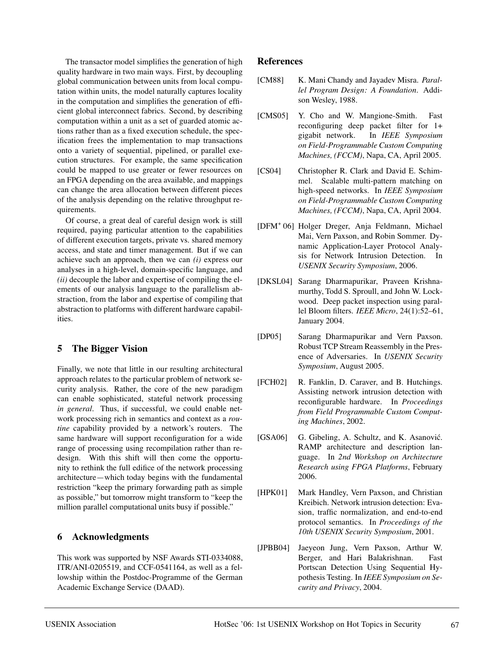The transactor model simplifies the generation of high quality hardware in two main ways. First, by decoupling global communication between units from local computation within units, the model naturally captures locality in the computation and simplifies the generation of efficient global interconnect fabrics. Second, by describing computation within a unit as a set of guarded atomic actions rather than as a fixed execution schedule, the specification frees the implementation to map transactions onto a variety of sequential, pipelined, or parallel execution structures. For example, the same specification could be mapped to use greater or fewer resources on an FPGA depending on the area available, and mappings can change the area allocation between different pieces of the analysis depending on the relative throughput requirements.

Of course, a great deal of careful design work is still required, paying particular attention to the capabilities of different execution targets, private vs. shared memory access, and state and timer management. But if we can achieve such an approach, then we can *(i)* express our analyses in a high-level, domain-specific language, and *(ii)* decouple the labor and expertise of compiling the elements of our analysis language to the parallelism abstraction, from the labor and expertise of compiling that abstraction to platforms with different hardware capabilities.

## **5 The Bigger Vision**

Finally, we note that little in our resulting architectural approach relates to the particular problem of network security analysis. Rather, the core of the new paradigm can enable sophisticated, stateful network processing *in general*. Thus, if successful, we could enable network processing rich in semantics and context as a *routine* capability provided by a network's routers. The same hardware will support reconfiguration for a wide range of processing using recompilation rather than redesign. With this shift will then come the opportunity to rethink the full edifice of the network processing architecture—which today begins with the fundamental restriction "keep the primary forwarding path as simple as possible," but tomorrow might transform to "keep the million parallel computational units busy if possible."

## **6 Acknowledgments**

This work was supported by NSF Awards STI-0334088, ITR/ANI-0205519, and CCF-0541164, as well as a fellowship within the Postdoc-Programme of the German Academic Exchange Service (DAAD).

#### **References**

- [CM88] K. Mani Chandy and Jayadev Misra. *Parallel Program Design: A Foundation*. Addison Wesley, 1988.
- [CMS05] Y. Cho and W. Mangione-Smith. Fast reconfiguring deep packet filter for 1+ gigabit network. In *IEEE Symposium on Field-Programmable Custom Computing Machines, (FCCM)*, Napa, CA, April 2005.
- [CS04] Christopher R. Clark and David E. Schimmel. Scalable multi-pattern matching on high-speed networks. In *IEEE Symposium on Field-Programmable Custom Computing Machines, (FCCM)*, Napa, CA, April 2004.
- [DFM<sup>+</sup> 06] Holger Dreger, Anja Feldmann, Michael Mai, Vern Paxson, and Robin Sommer. Dynamic Application-Layer Protocol Analysis for Network Intrusion Detection. In *USENIX Security Symposium*, 2006.
- [DKSL04] Sarang Dharmapurikar, Praveen Krishnamurthy, Todd S. Sproull, and John W. Lockwood. Deep packet inspection using parallel Bloom filters. *IEEE Micro*, 24(1):52–61, January 2004.
- [DP05] Sarang Dharmapurikar and Vern Paxson. Robust TCP Stream Reassembly in the Presence of Adversaries. In *USENIX Security Symposium*, August 2005.
- [FCH02] R. Fanklin, D. Caraver, and B. Hutchings. Assisting network intrusion detection with reconfigurable hardware. In *Proceedings from Field Programmable Custom Computing Machines*, 2002.
- [GSA06] G. Gibeling, A. Schultz, and K. Asanović. RAMP architecture and description language. In *2nd Workshop on Architecture Research using FPGA Platforms*, February 2006.
- [HPK01] Mark Handley, Vern Paxson, and Christian Kreibich. Network intrusion detection: Evasion, traffic normalization, and end-to-end protocol semantics. In *Proceedings of the 10th USENIX Security Symposium*, 2001.
- [JPBB04] Jaeyeon Jung, Vern Paxson, Arthur W. Berger, and Hari Balakrishnan. Fast Portscan Detection Using Sequential Hypothesis Testing. In *IEEE Symposium on Security and Privacy*, 2004.